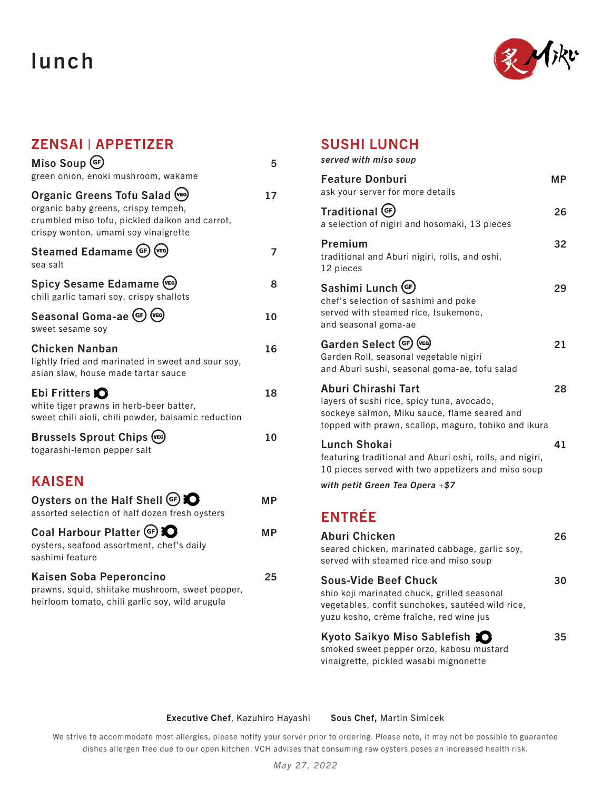# lunch



## ZENSAI | APPETIZER

| $Miso$ Soup $(F)$<br>green onion, enoki mushroom, wakame                                                                                                         | 5  |
|------------------------------------------------------------------------------------------------------------------------------------------------------------------|----|
| Organic Greens Tofu Salad (VEG)<br>organic baby greens, crispy tempeh,<br>crumbled miso tofu, pickled daikon and carrot,<br>crispy wonton, umami soy vinaigrette |    |
| Steamed Edamame (GF) (VEG)<br>sea salt                                                                                                                           |    |
| Spicy Sesame Edamame (VEG)<br>chili garlic tamari soy, crispy shallots                                                                                           | 8  |
| Seasonal Goma-ae (GF) (VEG)<br>sweet sesame soy                                                                                                                  | ۱Λ |
|                                                                                                                                                                  |    |

| <b>Chicken Nanban</b>                               | 16. |
|-----------------------------------------------------|-----|
| lightly fried and marinated in sweet and sour soy.  |     |
| asian slaw, house made tartar sauce                 |     |
| Ebi Fritters <b>O</b>                               | 18  |
| white tiger prawns in herb-beer batter,             |     |
| sweet chili aioli, chili powder, balsamic reduction |     |
|                                                     |     |

| <b>Brussels Sprout Chips (vEG)</b> | 10 |
|------------------------------------|----|
| togarashi-lemon pepper salt        |    |

## KAISEN

| Oysters on the Half Shell (GF)<br>assorted selection of half dozen fresh oysters                                              | MР |
|-------------------------------------------------------------------------------------------------------------------------------|----|
| Coal Harbour Platter (GF) C<br>oysters, seafood assortment, chef's daily<br>sashimi feature                                   | МP |
| Kaisen Soba Peperoncino<br>prawns, squid, shiitake mushroom, sweet pepper,<br>heirloom tomato, chili garlic soy, wild arugula | 25 |

#### SUSHI LUNCH

| served with miso soup |  |
|-----------------------|--|
|-----------------------|--|

| <b>Feature Donburi</b><br>ask your server for more details                                                                                                                | <b>MP</b> |
|---------------------------------------------------------------------------------------------------------------------------------------------------------------------------|-----------|
| Traditional (GF)<br>a selection of nigiri and hosomaki, 13 pieces                                                                                                         | 26        |
| Premium<br>traditional and Aburi nigiri, rolls, and oshi,<br>12 pieces                                                                                                    | 32        |
| Sashimi Lunch (GF)<br>chef's selection of sashimi and poke<br>served with steamed rice, tsukemono,<br>and seasonal goma-ae                                                | 29        |
| Garden Select (GF) (VEG)<br>Garden Roll, seasonal vegetable nigiri<br>and Aburi sushi, seasonal goma-ae, tofu salad                                                       | 21        |
| Aburi Chirashi Tart<br>layers of sushi rice, spicy tuna, avocado,<br>sockeye salmon, Miku sauce, flame seared and<br>topped with prawn, scallop, maguro, tobiko and ikura | 28        |
| <b>Lunch Shokai</b><br>featuring traditional and Aburi oshi, rolls, and nigiri,<br>10 pieces served with two appetizers and miso soup                                     | 41        |
| with petit Green Tea Opera $+$ \$7                                                                                                                                        |           |
| <b>ENTRÉE</b>                                                                                                                                                             |           |
| <b>Aburi Chicken</b><br>seared chicken, marinated cabbage, garlic soy,<br>served with steamed rice and miso soup                                                          | 26        |
| <b>Sous-Vide Beef Chuck</b><br>chio koji marinatod obuok, arillod cosecnal                                                                                                | 30        |

shio koji marinated chuck, grilled seasonal vegetables, confit sunchokes, sautéed wild rice, yuzu kosho, crème fraîche, red wine jus

#### Kyoto Saikyo Miso Sablefish  $\bullet$  35 smoked sweet pepper orzo, kabosu mustard

vinaigrette, pickled wasabi mignonette

#### Executive Chef, Kazuhiro Hayashi Sous Chef, Martin Simicek

We strive to accommodate most allergies, please notify your server prior to ordering. Please note, it may not be possible to guarantee dishes allergen free due to our open kitchen. VCH advises that consuming raw oysters poses an increased health risk.